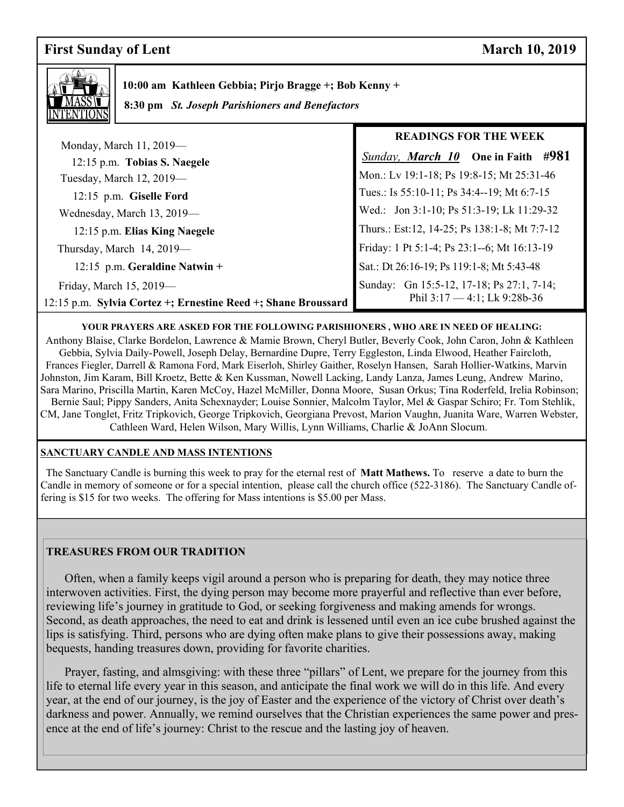# **First Sunday of Lent** March 10, 2019



 **10:00 am Kathleen Gebbia; Pirjo Bragge +; Bob Kenny +** 

 **8:30 pm** *St. Joseph Parishioners and Benefactors*

| Monday, March 11, 2019-                                       | <b>READINGS FOR THE WEEK</b>                 |
|---------------------------------------------------------------|----------------------------------------------|
| 12:15 p.m. Tobias S. Naegele                                  | <b>Sunday, March 10</b> One in Faith $\#981$ |
| Tuesday, March 12, 2019-                                      | Mon.: Lv 19:1-18; Ps 19:8-15; Mt 25:31-46    |
| 12:15 p.m. Giselle Ford                                       | Tues.: Is 55:10-11; Ps 34:4--19; Mt 6:7-15   |
| Wednesday, March 13, 2019-                                    | Wed.: Jon 3:1-10; Ps 51:3-19; Lk 11:29-32    |
| 12:15 p.m. Elias King Naegele                                 | Thurs.: Est:12, 14-25; Ps 138:1-8; Mt 7:7-12 |
| Thursday, March 14, 2019—                                     | Friday: 1 Pt 5:1-4; Ps 23:1--6; Mt 16:13-19  |
| 12:15 p.m. Geraldine Natwin +                                 | Sat.: Dt 26:16-19; Ps 119:1-8; Mt 5:43-48    |
| Friday, March 15, 2019-                                       | Sunday: Gn 15:5-12, 17-18; Ps 27:1, 7-14;    |
| 12:15 p.m. Sylvia Cortez +; Ernestine Reed +; Shane Broussard | Phil $3:17 - 4:1$ ; Lk $9:28b-36$            |

#### **YOUR PRAYERS ARE ASKED FOR THE FOLLOWING PARISHIONERS , WHO ARE IN NEED OF HEALING:**

 Anthony Blaise, Clarke Bordelon, Lawrence & Mamie Brown, Cheryl Butler, Beverly Cook, John Caron, John & Kathleen Gebbia, Sylvia Daily-Powell, Joseph Delay, Bernardine Dupre, Terry Eggleston, Linda Elwood, Heather Faircloth, Frances Fiegler, Darrell & Ramona Ford, Mark Eiserloh, Shirley Gaither, Roselyn Hansen, Sarah Hollier-Watkins, Marvin Johnston, Jim Karam, Bill Kroetz, Bette & Ken Kussman, Nowell Lacking, Landy Lanza, James Leung, Andrew Marino, Sara Marino, Priscilla Martin, Karen McCoy, Hazel McMiller, Donna Moore, Susan Orkus; Tina Roderfeld, Irelia Robinson; Bernie Saul; Pippy Sanders, Anita Schexnayder; Louise Sonnier, Malcolm Taylor, Mel & Gaspar Schiro; Fr. Tom Stehlik, CM, Jane Tonglet, Fritz Tripkovich, George Tripkovich, Georgiana Prevost, Marion Vaughn, Juanita Ware, Warren Webster, Cathleen Ward, Helen Wilson, Mary Willis, Lynn Williams, Charlie & JoAnn Slocum.

#### **SANCTUARY CANDLE AND MASS INTENTIONS**

 The Sanctuary Candle is burning this week to pray for the eternal rest of **Matt Mathews.** To reserve a date to burn the Candle in memory of someone or for a special intention, please call the church office (522-3186). The Sanctuary Candle offering is \$15 for two weeks. The offering for Mass intentions is \$5.00 per Mass.

### **TREASURES FROM OUR TRADITION**

Often, when a family keeps vigil around a person who is preparing for death, they may notice three interwoven activities. First, the dying person may become more prayerful and reflective than ever before, reviewing life's journey in gratitude to God, or seeking forgiveness and making amends for wrongs. Second, as death approaches, the need to eat and drink is lessened until even an ice cube brushed against the lips is satisfying. Third, persons who are dying often make plans to give their possessions away, making bequests, handing treasures down, providing for favorite charities.

 Prayer, fasting, and almsgiving: with these three "pillars" of Lent, we prepare for the journey from this life to eternal life every year in this season, and anticipate the final work we will do in this life. And every year, at the end of our journey, is the joy of Easter and the experience of the victory of Christ over death's darkness and power. Annually, we remind ourselves that the Christian experiences the same power and presence at the end of life's journey: Christ to the rescue and the lasting joy of heaven.